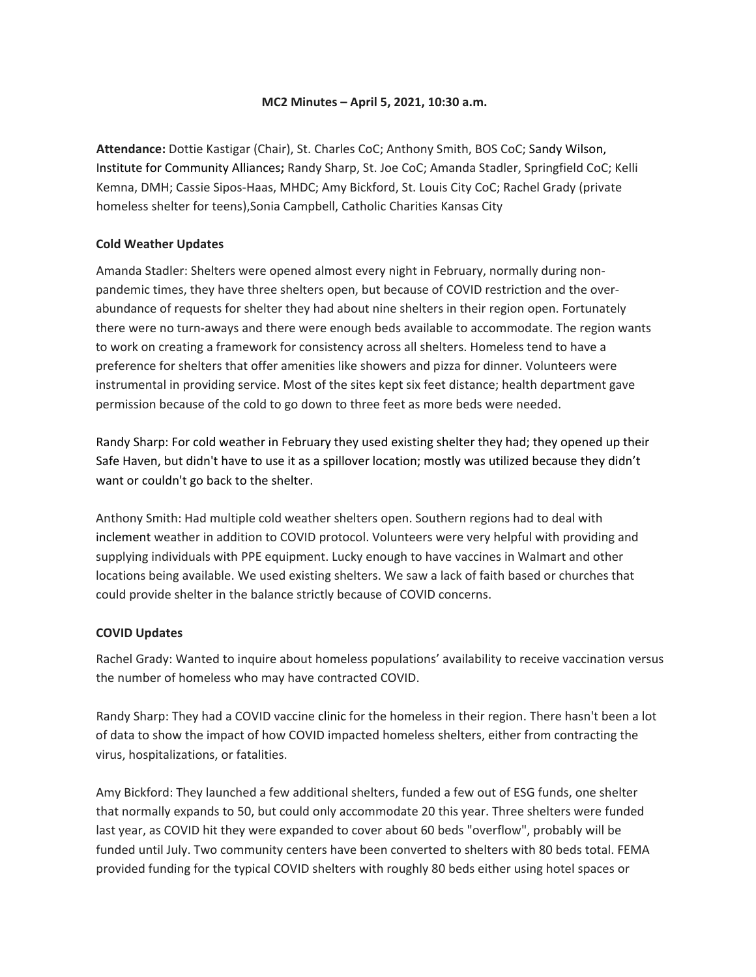# **MC2 Minutes – April 5, 2021, 10:30 a.m.**

**Attendance:** Dottie Kastigar (Chair), St. Charles CoC; Anthony Smith, BOS CoC; Sandy Wilson, Institute for Community Alliances**;** Randy Sharp, St. Joe CoC; Amanda Stadler, Springfield CoC; Kelli Kemna, DMH; Cassie Sipos-Haas, MHDC; Amy Bickford, St. Louis City CoC; Rachel Grady (private homeless shelter for teens),Sonia Campbell, Catholic Charities Kansas City

#### **Cold Weather Updates**

Amanda Stadler: Shelters were opened almost every night in February, normally during nonpandemic times, they have three shelters open, but because of COVID restriction and the overabundance of requests for shelter they had about nine shelters in their region open. Fortunately there were no turn-aways and there were enough beds available to accommodate. The region wants to work on creating a framework for consistency across all shelters. Homeless tend to have a preference for shelters that offer amenities like showers and pizza for dinner. Volunteers were instrumental in providing service. Most of the sites kept six feet distance; health department gave permission because of the cold to go down to three feet as more beds were needed.

Randy Sharp: For cold weather in February they used existing shelter they had; they opened up their Safe Haven, but didn't have to use it as a spillover location; mostly was utilized because they didn't want or couldn't go back to the shelter.

Anthony Smith: Had multiple cold weather shelters open. Southern regions had to deal with inclement weather in addition to COVID protocol. Volunteers were very helpful with providing and supplying individuals with PPE equipment. Lucky enough to have vaccines in Walmart and other locations being available. We used existing shelters. We saw a lack of faith based or churches that could provide shelter in the balance strictly because of COVID concerns.

# **COVID Updates**

Rachel Grady: Wanted to inquire about homeless populations' availability to receive vaccination versus the number of homeless who may have contracted COVID.

Randy Sharp: They had a COVID vaccine clinic for the homeless in their region. There hasn't been a lot of data to show the impact of how COVID impacted homeless shelters, either from contracting the virus, hospitalizations, or fatalities.

Amy Bickford: They launched a few additional shelters, funded a few out of ESG funds, one shelter that normally expands to 50, but could only accommodate 20 this year. Three shelters were funded last year, as COVID hit they were expanded to cover about 60 beds "overflow", probably will be funded until July. Two community centers have been converted to shelters with 80 beds total. FEMA provided funding for the typical COVID shelters with roughly 80 beds either using hotel spaces or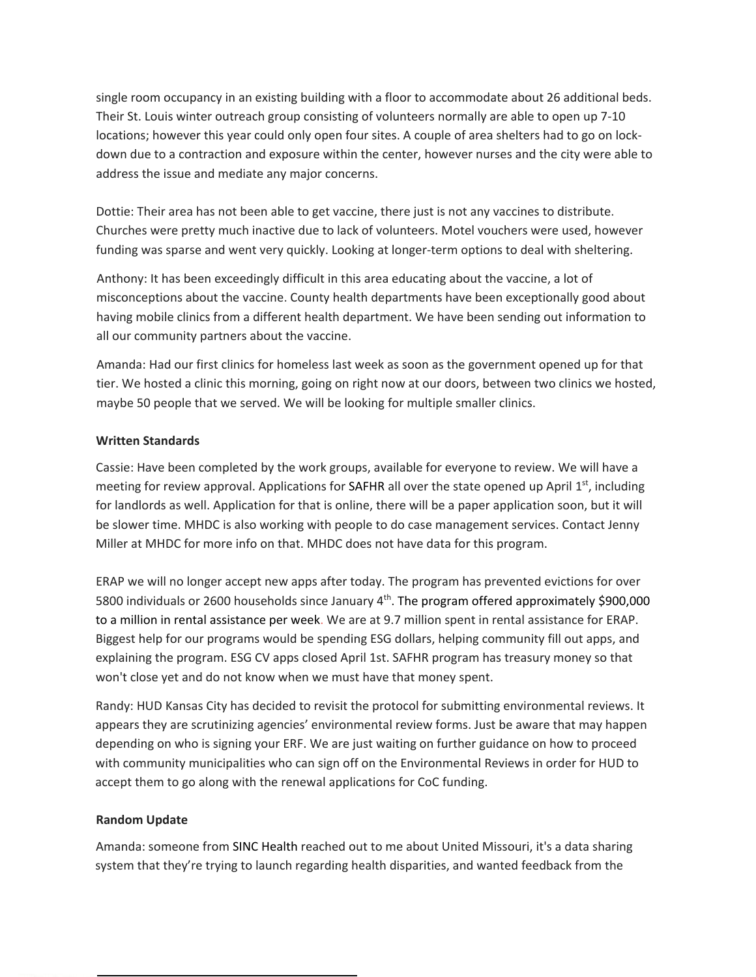single room occupancy in an existing building with a floor to accommodate about 26 additional beds. Their St. Louis winter outreach group consisting of volunteers normally are able to open up 7-10 locations; however this year could only open four sites. A couple of area shelters had to go on lockdown due to a contraction and exposure within the center, however nurses and the city were able to address the issue and mediate any major concerns.

Dottie: Their area has not been able to get vaccine, there just is not any vaccines to distribute. Churches were pretty much inactive due to lack of volunteers. Motel vouchers were used, however funding was sparse and went very quickly. Looking at longer-term options to deal with sheltering.

Anthony: It has been exceedingly difficult in this area educating about the vaccine, a lot of misconceptions about the vaccine. County health departments have been exceptionally good about having mobile clinics from a different health department. We have been sending out information to all our community partners about the vaccine.

Amanda: Had our first clinics for homeless last week as soon as the government opened up for that tier. We hosted a clinic this morning, going on right now at our doors, between two clinics we hosted, maybe 50 people that we served. We will be looking for multiple smaller clinics.

# **Written Standards**

Cassie: Have been completed by the work groups, available for everyone to review. We will have a meeting for review approval. Applications for SAFHR all over the state opened up April  $1<sup>st</sup>$ , including for landlords as well. Application for that is online, there will be a paper application soon, but it will be slower time. MHDC is also working with people to do case management services. Contact Jenny Miller at MHDC for more info on that. MHDC does not have data for this program.

ERAP we will no longer accept new apps after today. The program has prevented evictions for over 5800 individuals or 2600 households since January  $4<sup>th</sup>$ . The program offered approximately \$900,000 to a million in rental assistance per week. We are at 9.7 million spent in rental assistance for ERAP. Biggest help for our programs would be spending ESG dollars, helping community fill out apps, and explaining the program. ESG CV apps closed April 1st. SAFHR program has treasury money so that won't close yet and do not know when we must have that money spent.

Randy: HUD Kansas City has decided to revisit the protocol for submitting environmental reviews. It appears they are scrutinizing agencies' environmental review forms. Just be aware that may happen depending on who is signing your ERF. We are just waiting on further guidance on how to proceed with community municipalities who can sign off on the Environmental Reviews in order for HUD to accept them to go along with the renewal applications for CoC funding.

#### **Random Update**

Amanda: someone from SINC Health reached out to me about United Missouri, it's a data sharing system that they're trying to launch regarding health disparities, and wanted feedback from the